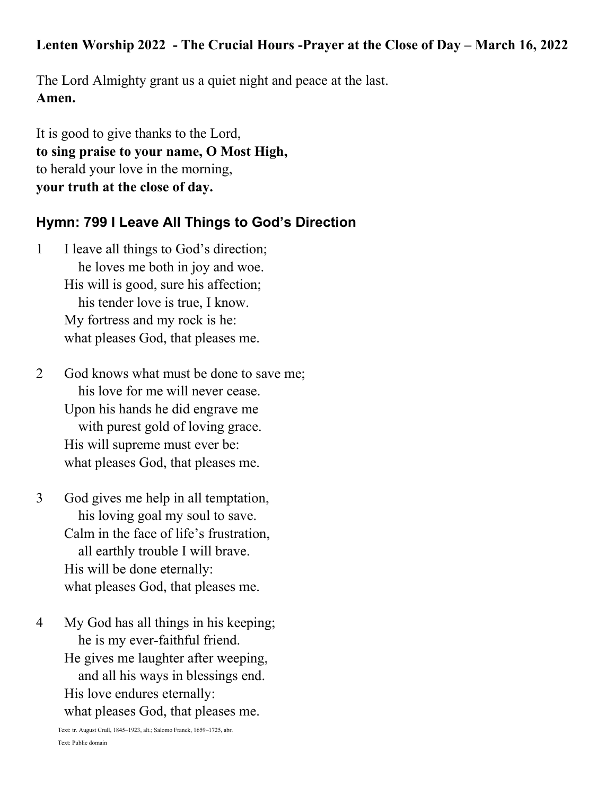### Lenten Worship 2022 - The Crucial Hours -Prayer at the Close of Day – March 16, 2022

The Lord Almighty grant us a quiet night and peace at the last. **Amen.**

It is good to give thanks to the Lord, **to sing praise to your name, O Most High,** to herald your love in the morning, **your truth at the close of day.**

## **Hymn: 799 I Leave All Things to God's Direction**

1 I leave all things to God's direction; he loves me both in joy and woe. His will is good, sure his affection; his tender love is true, I know. My fortress and my rock is he: what pleases God, that pleases me.

2 God knows what must be done to save me; his love for me will never cease. Upon his hands he did engrave me with purest gold of loving grace. His will supreme must ever be: what pleases God, that pleases me.

3 God gives me help in all temptation, his loving goal my soul to save. Calm in the face of life's frustration, all earthly trouble I will brave. His will be done eternally: what pleases God, that pleases me.

4 My God has all things in his keeping; he is my ever-faithful friend. He gives me laughter after weeping, and all his ways in blessings end. His love endures eternally: what pleases God, that pleases me.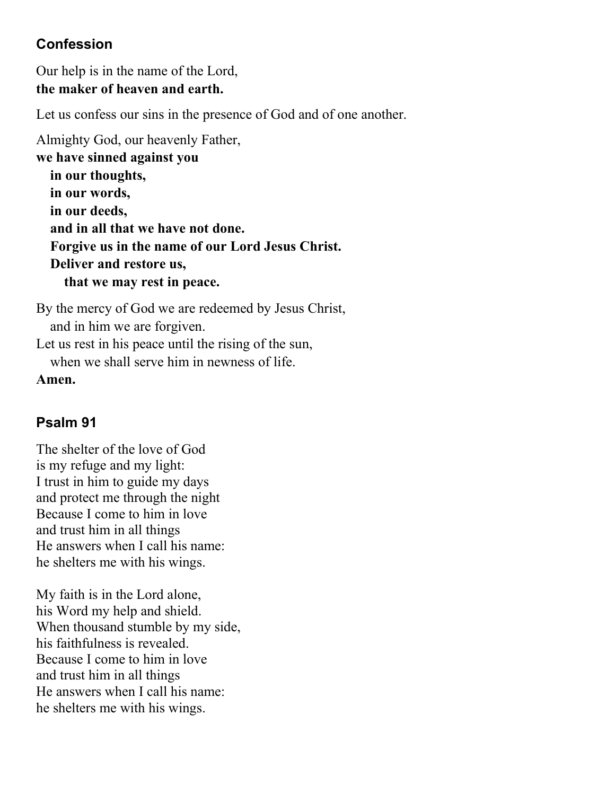## **Confession**

Our help is in the name of the Lord, **the maker of heaven and earth.**

Let us confess our sins in the presence of God and of one another.

Almighty God, our heavenly Father, **we have sinned against you in our thoughts, in our words, in our deeds, and in all that we have not done. Forgive us in the name of our Lord Jesus Christ. Deliver and restore us, that we may rest in peace.**

By the mercy of God we are redeemed by Jesus Christ, and in him we are forgiven. Let us rest in his peace until the rising of the sun,

when we shall serve him in newness of life.

**Amen.**

# **Psalm 91**

The shelter of the love of God is my refuge and my light: I trust in him to guide my days and protect me through the night Because I come to him in love and trust him in all things He answers when I call his name: he shelters me with his wings.

My faith is in the Lord alone, his Word my help and shield. When thousand stumble by my side, his faithfulness is revealed. Because I come to him in love and trust him in all things He answers when I call his name: he shelters me with his wings.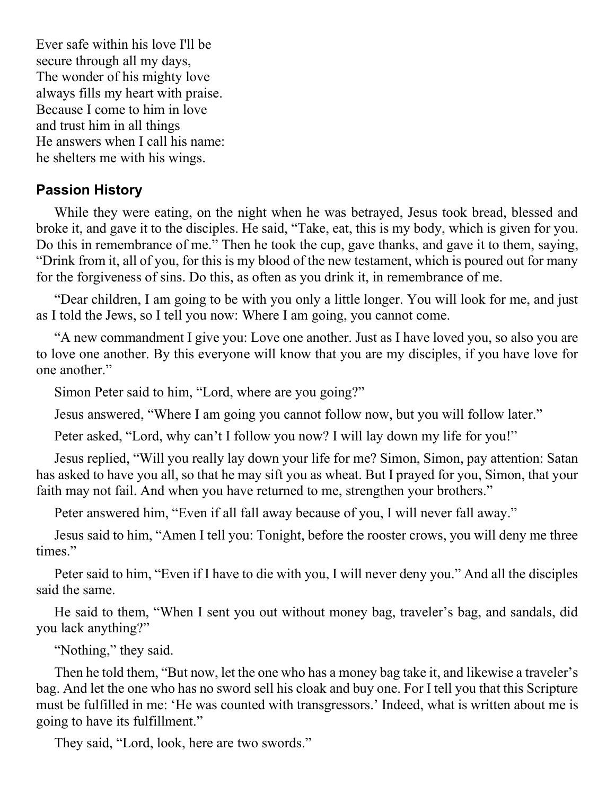Ever safe within his love I'll be secure through all my days, The wonder of his mighty love always fills my heart with praise. Because I come to him in love and trust him in all things He answers when I call his name: he shelters me with his wings.

### **Passion History**

While they were eating, on the night when he was betrayed, Jesus took bread, blessed and broke it, and gave it to the disciples. He said, "Take, eat, this is my body, which is given for you. Do this in remembrance of me." Then he took the cup, gave thanks, and gave it to them, saying, "Drink from it, all of you, for this is my blood of the new testament, which is poured out for many for the forgiveness of sins. Do this, as often as you drink it, in remembrance of me.

"Dear children, I am going to be with you only a little longer. You will look for me, and just as I told the Jews, so I tell you now: Where I am going, you cannot come.

"A new commandment I give you: Love one another. Just as I have loved you, so also you are to love one another. By this everyone will know that you are my disciples, if you have love for one another."

Simon Peter said to him, "Lord, where are you going?"

Jesus answered, "Where I am going you cannot follow now, but you will follow later."

Peter asked, "Lord, why can't I follow you now? I will lay down my life for you!"

Jesus replied, "Will you really lay down your life for me? Simon, Simon, pay attention: Satan has asked to have you all, so that he may sift you as wheat. But I prayed for you, Simon, that your faith may not fail. And when you have returned to me, strengthen your brothers."

Peter answered him, "Even if all fall away because of you, I will never fall away."

Jesus said to him, "Amen I tell you: Tonight, before the rooster crows, you will deny me three times."

Peter said to him, "Even if I have to die with you, I will never deny you." And all the disciples said the same.

He said to them, "When I sent you out without money bag, traveler's bag, and sandals, did you lack anything?"

"Nothing," they said.

Then he told them, "But now, let the one who has a money bag take it, and likewise a traveler's bag. And let the one who has no sword sell his cloak and buy one. For I tell you that this Scripture must be fulfilled in me: 'He was counted with transgressors.' Indeed, what is written about me is going to have its fulfillment."

They said, "Lord, look, here are two swords."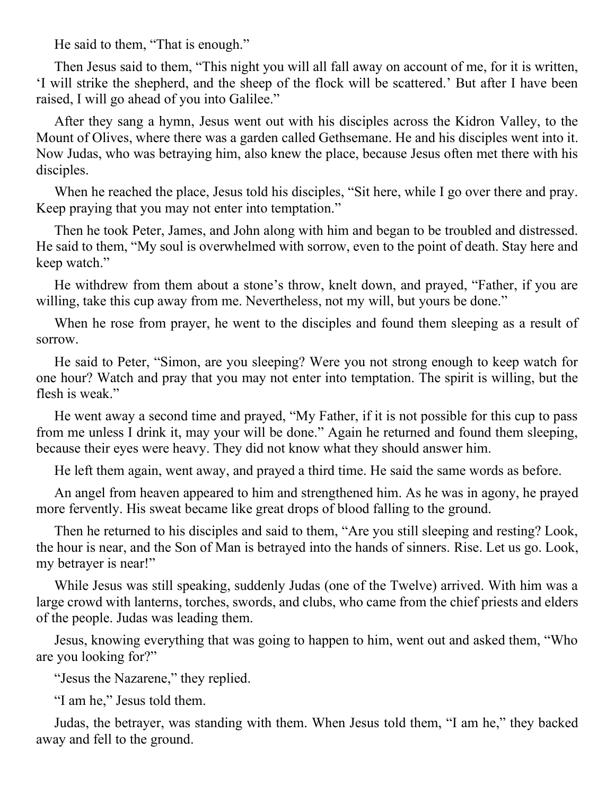He said to them, "That is enough."

Then Jesus said to them, "This night you will all fall away on account of me, for it is written, 'I will strike the shepherd, and the sheep of the flock will be scattered.' But after I have been raised, I will go ahead of you into Galilee."

After they sang a hymn, Jesus went out with his disciples across the Kidron Valley, to the Mount of Olives, where there was a garden called Gethsemane. He and his disciples went into it. Now Judas, who was betraying him, also knew the place, because Jesus often met there with his disciples.

When he reached the place, Jesus told his disciples, "Sit here, while I go over there and pray. Keep praying that you may not enter into temptation."

Then he took Peter, James, and John along with him and began to be troubled and distressed. He said to them, "My soul is overwhelmed with sorrow, even to the point of death. Stay here and keep watch."

He withdrew from them about a stone's throw, knelt down, and prayed, "Father, if you are willing, take this cup away from me. Nevertheless, not my will, but yours be done."

When he rose from prayer, he went to the disciples and found them sleeping as a result of sorrow.

He said to Peter, "Simon, are you sleeping? Were you not strong enough to keep watch for one hour? Watch and pray that you may not enter into temptation. The spirit is willing, but the flesh is weak."

He went away a second time and prayed, "My Father, if it is not possible for this cup to pass from me unless I drink it, may your will be done." Again he returned and found them sleeping, because their eyes were heavy. They did not know what they should answer him.

He left them again, went away, and prayed a third time. He said the same words as before.

An angel from heaven appeared to him and strengthened him. As he was in agony, he prayed more fervently. His sweat became like great drops of blood falling to the ground.

Then he returned to his disciples and said to them, "Are you still sleeping and resting? Look, the hour is near, and the Son of Man is betrayed into the hands of sinners. Rise. Let us go. Look, my betrayer is near!"

While Jesus was still speaking, suddenly Judas (one of the Twelve) arrived. With him was a large crowd with lanterns, torches, swords, and clubs, who came from the chief priests and elders of the people. Judas was leading them.

Jesus, knowing everything that was going to happen to him, went out and asked them, "Who are you looking for?"

"Jesus the Nazarene," they replied.

"I am he," Jesus told them.

Judas, the betrayer, was standing with them. When Jesus told them, "I am he," they backed away and fell to the ground.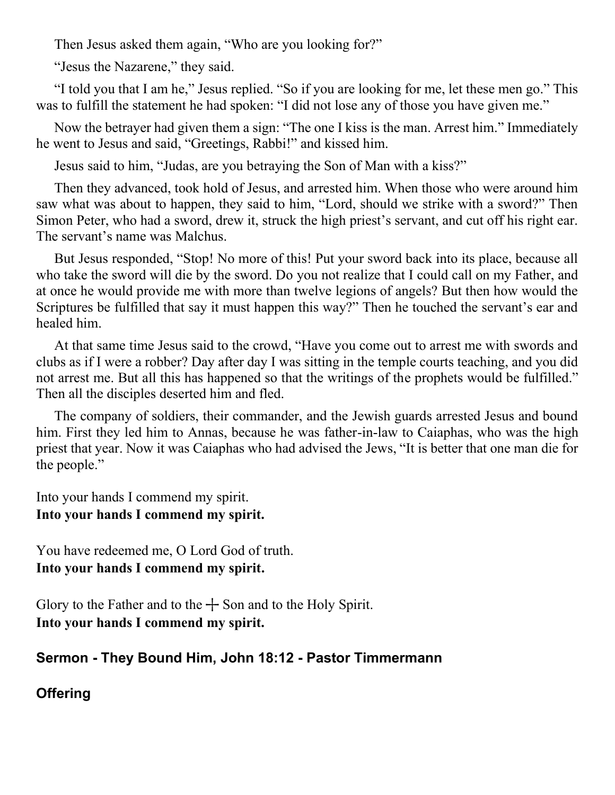Then Jesus asked them again, "Who are you looking for?"

"Jesus the Nazarene," they said.

"I told you that I am he," Jesus replied. "So if you are looking for me, let these men go." This was to fulfill the statement he had spoken: "I did not lose any of those you have given me."

Now the betrayer had given them a sign: "The one I kiss is the man. Arrest him." Immediately he went to Jesus and said, "Greetings, Rabbi!" and kissed him.

Jesus said to him, "Judas, are you betraying the Son of Man with a kiss?"

Then they advanced, took hold of Jesus, and arrested him. When those who were around him saw what was about to happen, they said to him, "Lord, should we strike with a sword?" Then Simon Peter, who had a sword, drew it, struck the high priest's servant, and cut off his right ear. The servant's name was Malchus.

But Jesus responded, "Stop! No more of this! Put your sword back into its place, because all who take the sword will die by the sword. Do you not realize that I could call on my Father, and at once he would provide me with more than twelve legions of angels? But then how would the Scriptures be fulfilled that say it must happen this way?" Then he touched the servant's ear and healed him.

At that same time Jesus said to the crowd, "Have you come out to arrest me with swords and clubs as if I were a robber? Day after day I was sitting in the temple courts teaching, and you did not arrest me. But all this has happened so that the writings of the prophets would be fulfilled." Then all the disciples deserted him and fled.

The company of soldiers, their commander, and the Jewish guards arrested Jesus and bound him. First they led him to Annas, because he was father-in-law to Caiaphas, who was the high priest that year. Now it was Caiaphas who had advised the Jews, "It is better that one man die for the people."

Into your hands I commend my spirit. **Into your hands I commend my spirit.** 

You have redeemed me, O Lord God of truth. **Into your hands I commend my spirit.** 

Glory to the Father and to the  $+$  Son and to the Holy Spirit. **Into your hands I commend my spirit.**

# **Sermon - They Bound Him, John 18:12 - Pastor Timmermann**

# **Offering**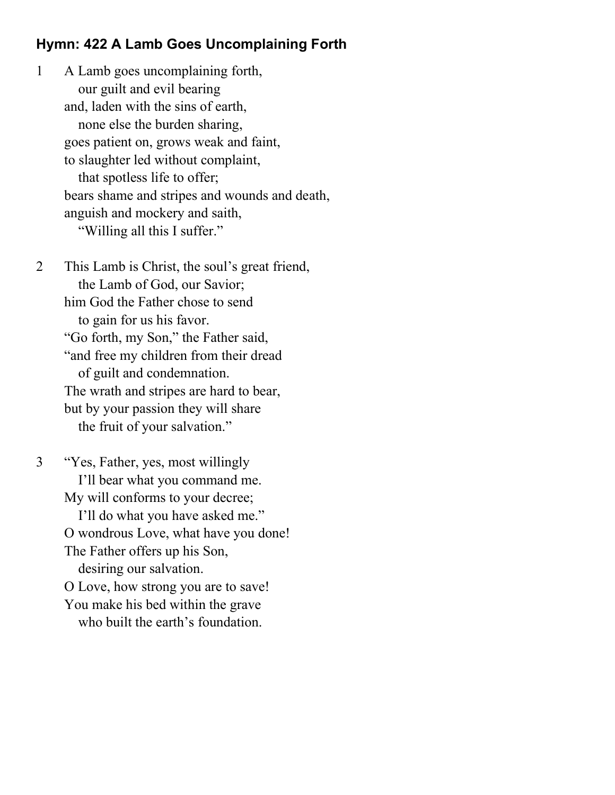#### **Hymn: 422 A Lamb Goes Uncomplaining Forth**

1 A Lamb goes uncomplaining forth, our guilt and evil bearing and, laden with the sins of earth, none else the burden sharing, goes patient on, grows weak and faint, to slaughter led without complaint, that spotless life to offer; bears shame and stripes and wounds and death, anguish and mockery and saith, "Willing all this I suffer."

2 This Lamb is Christ, the soul's great friend, the Lamb of God, our Savior; him God the Father chose to send to gain for us his favor. "Go forth, my Son," the Father said, "and free my children from their dread of guilt and condemnation. The wrath and stripes are hard to bear, but by your passion they will share the fruit of your salvation."

3 "Yes, Father, yes, most willingly I'll bear what you command me. My will conforms to your decree; I'll do what you have asked me." O wondrous Love, what have you done! The Father offers up his Son, desiring our salvation. O Love, how strong you are to save! You make his bed within the grave who built the earth's foundation.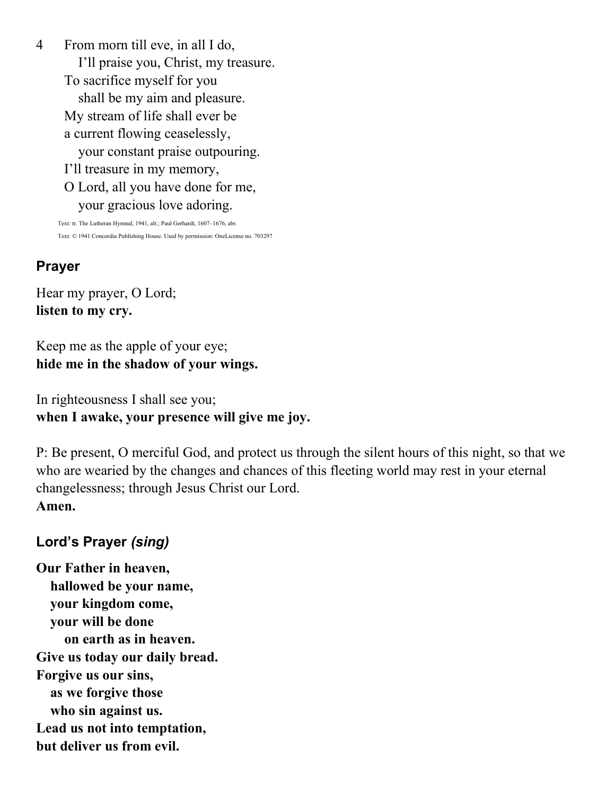4 From morn till eve, in all I do, I'll praise you, Christ, my treasure. To sacrifice myself for you shall be my aim and pleasure. My stream of life shall ever be a current flowing ceaselessly, your constant praise outpouring. I'll treasure in my memory, O Lord, all you have done for me, your gracious love adoring.

Text: tr. The Lutheran Hymnal, 1941, alt.; Paul Gerhardt, 1607–1676, abr. Text: © 1941 Concordia Publishing House. Used by permission: OneLicense no. 703297

## **Prayer**

Hear my prayer, O Lord; **listen to my cry.** 

Keep me as the apple of your eye; **hide me in the shadow of your wings.** 

In righteousness I shall see you; **when I awake, your presence will give me joy.**

P: Be present, O merciful God, and protect us through the silent hours of this night, so that we who are wearied by the changes and chances of this fleeting world may rest in your eternal changelessness; through Jesus Christ our Lord. **Amen.**

### **Lord's Prayer** *(sing)*

**Our Father in heaven, hallowed be your name, your kingdom come, your will be done on earth as in heaven. Give us today our daily bread. Forgive us our sins, as we forgive those who sin against us. Lead us not into temptation, but deliver us from evil.**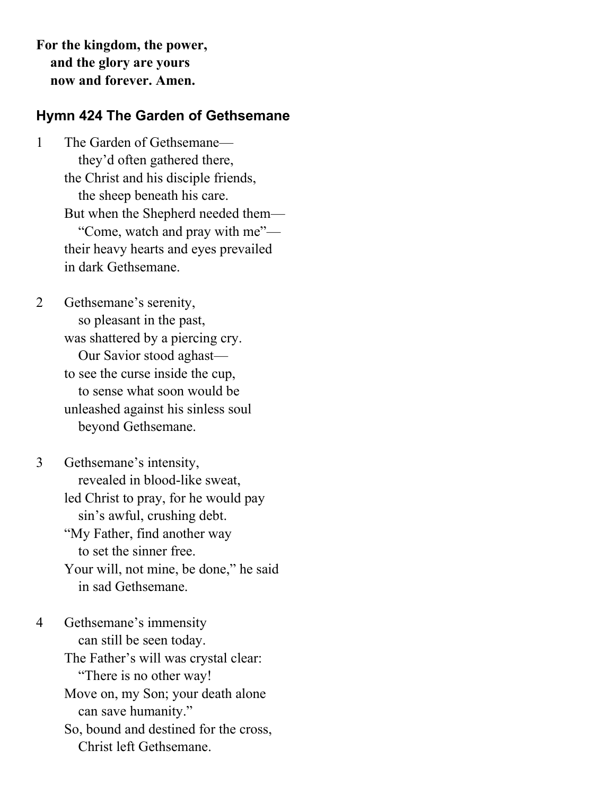**For the kingdom, the power, and the glory are yours now and forever. Amen.**

#### **Hymn 424 The Garden of Gethsemane**

1 The Garden of Gethsemane they'd often gathered there, the Christ and his disciple friends, the sheep beneath his care. But when the Shepherd needed them— "Come, watch and pray with me" their heavy hearts and eyes prevailed in dark Gethsemane.

2 Gethsemane's serenity, so pleasant in the past, was shattered by a piercing cry. Our Savior stood aghast to see the curse inside the cup, to sense what soon would be unleashed against his sinless soul beyond Gethsemane.

3 Gethsemane's intensity, revealed in blood-like sweat, led Christ to pray, for he would pay sin's awful, crushing debt. "My Father, find another way to set the sinner free. Your will, not mine, be done," he said in sad Gethsemane.

4 Gethsemane's immensity can still be seen today. The Father's will was crystal clear: "There is no other way! Move on, my Son; your death alone can save humanity." So, bound and destined for the cross, Christ left Gethsemane.